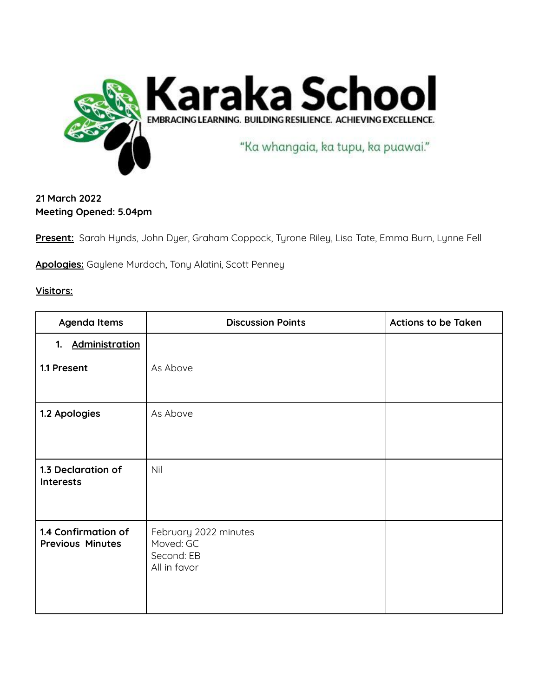

## **21 March 2022 Meeting Opened: 5.04pm**

**Present:** Sarah Hynds, John Dyer, Graham Coppock, Tyrone Riley, Lisa Tate, Emma Burn, Lynne Fell

**Apologies:** Gaylene Murdoch, Tony Alatini, Scott Penney

## **Visitors:**

| Agenda Items                                   | <b>Discussion Points</b>                                         | <b>Actions to be Taken</b> |
|------------------------------------------------|------------------------------------------------------------------|----------------------------|
| <b>Administration</b><br>1.                    |                                                                  |                            |
| 1.1 Present                                    | As Above                                                         |                            |
| 1.2 Apologies                                  | As Above                                                         |                            |
| 1.3 Declaration of<br><b>Interests</b>         | Nil                                                              |                            |
| 1.4 Confirmation of<br><b>Previous Minutes</b> | February 2022 minutes<br>Moved: GC<br>Second: EB<br>All in favor |                            |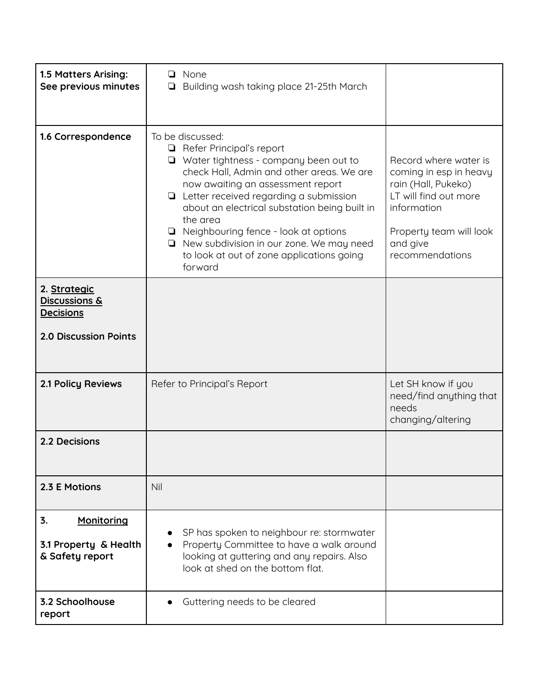| 1.5 Matters Arising:<br>See previous minutes                 | None<br>□  <br>Building wash taking place 21-25th March<br>❏                                                                                                                                                                                                                                                                                                                                                                                             |                                                                                                                                                                          |
|--------------------------------------------------------------|----------------------------------------------------------------------------------------------------------------------------------------------------------------------------------------------------------------------------------------------------------------------------------------------------------------------------------------------------------------------------------------------------------------------------------------------------------|--------------------------------------------------------------------------------------------------------------------------------------------------------------------------|
| 1.6 Correspondence                                           | To be discussed:<br>$\Box$ Refer Principal's report<br>$\Box$ Water tightness - company been out to<br>check Hall, Admin and other areas. We are<br>now awaiting an assessment report<br>$\Box$ Letter received regarding a submission<br>about an electrical substation being built in<br>the area<br>□ Neighbouring fence - look at options<br>$\Box$ New subdivision in our zone. We may need<br>to look at out of zone applications going<br>forward | Record where water is<br>coming in esp in heavy<br>rain (Hall, Pukeko)<br>LT will find out more<br>information<br>Property team will look<br>and give<br>recommendations |
| 2. Strategic<br><b>Discussions &amp;</b><br><b>Decisions</b> |                                                                                                                                                                                                                                                                                                                                                                                                                                                          |                                                                                                                                                                          |
| <b>2.0 Discussion Points</b>                                 |                                                                                                                                                                                                                                                                                                                                                                                                                                                          |                                                                                                                                                                          |
| <b>2.1 Policy Reviews</b>                                    | Refer to Principal's Report                                                                                                                                                                                                                                                                                                                                                                                                                              | Let SH know if you<br>need/find anything that<br>needs<br>changing/altering                                                                                              |
| 2.2 Decisions                                                |                                                                                                                                                                                                                                                                                                                                                                                                                                                          |                                                                                                                                                                          |
| 2.3 E Motions                                                | Nil                                                                                                                                                                                                                                                                                                                                                                                                                                                      |                                                                                                                                                                          |
| 3.<br>Monitoring<br>3.1 Property & Health<br>& Safety report | SP has spoken to neighbour re: stormwater<br>Property Committee to have a walk around<br>looking at guttering and any repairs. Also<br>look at shed on the bottom flat.                                                                                                                                                                                                                                                                                  |                                                                                                                                                                          |
| 3.2 Schoolhouse<br>report                                    | Guttering needs to be cleared                                                                                                                                                                                                                                                                                                                                                                                                                            |                                                                                                                                                                          |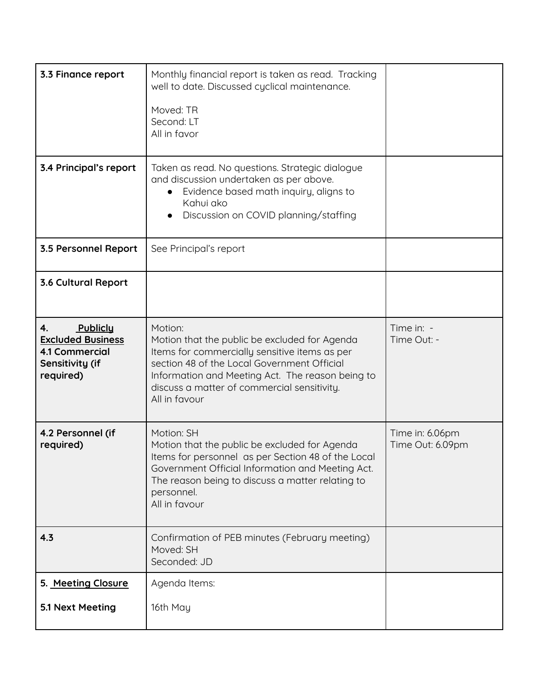| 3.3 Finance report<br>3.4 Principal's report                                                        | Monthly financial report is taken as read. Tracking<br>well to date. Discussed cyclical maintenance.<br>Moved: TR<br>Second: LT<br>All in favor<br>Taken as read. No questions. Strategic dialogue                                                                           |                                     |
|-----------------------------------------------------------------------------------------------------|------------------------------------------------------------------------------------------------------------------------------------------------------------------------------------------------------------------------------------------------------------------------------|-------------------------------------|
|                                                                                                     | and discussion undertaken as per above.<br>Evidence based math inquiry, aligns to<br>$\bullet$<br>Kahui ako<br>Discussion on COVID planning/staffing                                                                                                                         |                                     |
| 3.5 Personnel Report                                                                                | See Principal's report                                                                                                                                                                                                                                                       |                                     |
| 3.6 Cultural Report                                                                                 |                                                                                                                                                                                                                                                                              |                                     |
| Publiclu<br>4.<br><b>Excluded Business</b><br><b>4.1 Commercial</b><br>Sensitivity (if<br>required) | Motion:<br>Motion that the public be excluded for Agenda<br>Items for commercially sensitive items as per<br>section 48 of the Local Government Official<br>Information and Meeting Act. The reason being to<br>discuss a matter of commercial sensitivity.<br>All in favour | Time in: -<br>Time Out: -           |
| 4.2 Personnel (if<br>required)                                                                      | Motion: SH<br>Motion that the public be excluded for Agenda<br>Items for personnel as per Section 48 of the Local<br>Government Official Information and Meeting Act.<br>The reason being to discuss a matter relating to<br>personnel.<br>All in favour                     | Time in: 6.06pm<br>Time Out: 6.09pm |
| 4.3                                                                                                 | Confirmation of PEB minutes (February meeting)<br>Moved: SH<br>Seconded: JD                                                                                                                                                                                                  |                                     |
| 5. Meeting Closure                                                                                  | Agenda Items:                                                                                                                                                                                                                                                                |                                     |
| 5.1 Next Meeting                                                                                    | 16th May                                                                                                                                                                                                                                                                     |                                     |